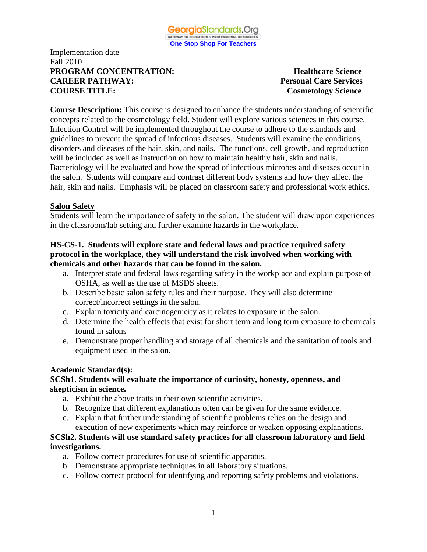

## Implementation date Fall 2010 **PROGRAM CONCENTRATION:** Healthcare Science **CAREER PATHWAY: Personal Care Services COURSE TITLE: Cosmetology Science**

**Course Description:** This course is designed to enhance the students understanding of scientific concepts related to the cosmetology field. Student will explore various sciences in this course. Infection Control will be implemented throughout the course to adhere to the standards and guidelines to prevent the spread of infectious diseases. Students will examine the conditions, disorders and diseases of the hair, skin, and nails. The functions, cell growth, and reproduction will be included as well as instruction on how to maintain healthy hair, skin and nails. Bacteriology will be evaluated and how the spread of infectious microbes and diseases occur in the salon. Students will compare and contrast different body systems and how they affect the hair, skin and nails. Emphasis will be placed on classroom safety and professional work ethics.

# **Salon Safety**

Students will learn the importance of safety in the salon. The student will draw upon experiences in the classroom/lab setting and further examine hazards in the workplace.

# **HS-CS-1. Students will explore state and federal laws and practice required safety protocol in the workplace, they will understand the risk involved when working with chemicals and other hazards that can be found in the salon.**

- a. Interpret state and federal laws regarding safety in the workplace and explain purpose of OSHA, as well as the use of MSDS sheets.
- b. Describe basic salon safety rules and their purpose. They will also determine correct/incorrect settings in the salon.
- c. Explain toxicity and carcinogenicity as it relates to exposure in the salon.
- d. Determine the health effects that exist for short term and long term exposure to chemicals found in salons
- e. Demonstrate proper handling and storage of all chemicals and the sanitation of tools and equipment used in the salon.

#### **Academic Standard(s):**

#### **SCSh1. Students will evaluate the importance of curiosity, honesty, openness, and skepticism in science.**

- a. Exhibit the above traits in their own scientific activities.
- b. Recognize that different explanations often can be given for the same evidence.
- c. Explain that further understanding of scientific problems relies on the design and execution of new experiments which may reinforce or weaken opposing explanations.

# **SCSh2. Students will use standard safety practices for all classroom laboratory and field investigations.**

- a. Follow correct procedures for use of scientific apparatus.
- b. Demonstrate appropriate techniques in all laboratory situations.
- c. Follow correct protocol for identifying and reporting safety problems and violations.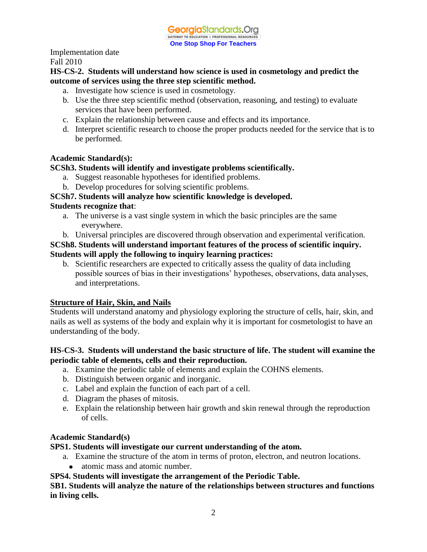# **HS-CS-2. Students will understand how science is used in cosmetology and predict the outcome of services using the three step scientific method.**

- a. Investigate how science is used in cosmetology.
- b. Use the three step scientific method (observation, reasoning, and testing) to evaluate services that have been performed.
- c. Explain the relationship between cause and effects and its importance.
- d. Interpret scientific research to choose the proper products needed for the service that is to be performed.

# **Academic Standard(s):**

# **SCSh3. Students will identify and investigate problems scientifically.**

- a. Suggest reasonable hypotheses for identified problems.
- b. Develop procedures for solving scientific problems.

# **SCSh7. Students will analyze how scientific knowledge is developed.**

# **Students recognize that**:

- a. The universe is a vast single system in which the basic principles are the same everywhere.
- b. Universal principles are discovered through observation and experimental verification.

# **SCSh8. Students will understand important features of the process of scientific inquiry. Students will apply the following to inquiry learning practices:**

b. Scientific researchers are expected to critically assess the quality of data including possible sources of bias in their investigations' hypotheses, observations, data analyses, and interpretations.

# **Structure of Hair, Skin, and Nails**

Students will understand anatomy and physiology exploring the structure of cells, hair, skin, and nails as well as systems of the body and explain why it is important for cosmetologist to have an understanding of the body.

# **HS-CS-3. Students will understand the basic structure of life. The student will examine the periodic table of elements, cells and their reproduction.**

- a. Examine the periodic table of elements and explain the COHNS elements.
- b. Distinguish between organic and inorganic.
- c. Label and explain the function of each part of a cell.
- d. Diagram the phases of mitosis.
- e. Explain the relationship between hair growth and skin renewal through the reproduction of cells.

# **Academic Standard(s)**

# **SPS1. Students will investigate our current understanding of the atom.**

- a. Examine the structure of the atom in terms of proton, electron, and neutron locations.
	- atomic mass and atomic number.

#### **SPS4. Students will investigate the arrangement of the Periodic Table.**

#### **SB1. Students will analyze the nature of the relationships between structures and functions in living cells.**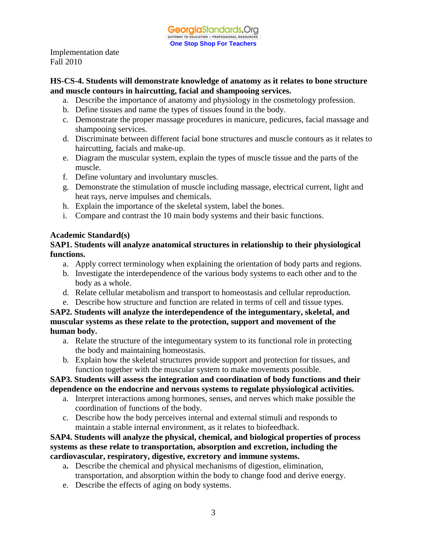#### **HS-CS-4. Students will demonstrate knowledge of anatomy as it relates to bone structure and muscle contours in haircutting, facial and shampooing services.**

- a. Describe the importance of anatomy and physiology in the cosmetology profession.
- b. Define tissues and name the types of tissues found in the body.
- c. Demonstrate the proper massage procedures in manicure, pedicures, facial massage and shampooing services.
- d. Discriminate between different facial bone structures and muscle contours as it relates to haircutting, facials and make-up.
- e. Diagram the muscular system, explain the types of muscle tissue and the parts of the muscle.
- f. Define voluntary and involuntary muscles.
- g. Demonstrate the stimulation of muscle including massage, electrical current, light and heat rays, nerve impulses and chemicals.
- h. Explain the importance of the skeletal system, label the bones.
- i. Compare and contrast the 10 main body systems and their basic functions.

# **Academic Standard(s)**

# **SAP1. Students will analyze anatomical structures in relationship to their physiological functions.**

- a. Apply correct terminology when explaining the orientation of body parts and regions.
- b. Investigate the interdependence of the various body systems to each other and to the body as a whole.
- d. Relate cellular metabolism and transport to homeostasis and cellular reproduction.
- e. Describe how structure and function are related in terms of cell and tissue types.

**SAP2. Students will analyze the interdependence of the integumentary, skeletal, and muscular systems as these relate to the protection, support and movement of the human body.**

- a. Relate the structure of the integumentary system to its functional role in protecting the body and maintaining homeostasis.
- b. Explain how the skeletal structures provide support and protection for tissues, and function together with the muscular system to make movements possible.

#### **SAP3. Students will assess the integration and coordination of body functions and their dependence on the endocrine and nervous systems to regulate physiological activities.**

- a. Interpret interactions among hormones, senses, and nerves which make possible the coordination of functions of the body.
- c. Describe how the body perceives internal and external stimuli and responds to maintain a stable internal environment, as it relates to biofeedback.

# **SAP4. Students will analyze the physical, chemical, and biological properties of process systems as these relate to transportation, absorption and excretion, including the cardiovascular, respiratory, digestive, excretory and immune systems.**

- a**.** Describe the chemical and physical mechanisms of digestion, elimination, transportation, and absorption within the body to change food and derive energy.
- e. Describe the effects of aging on body systems.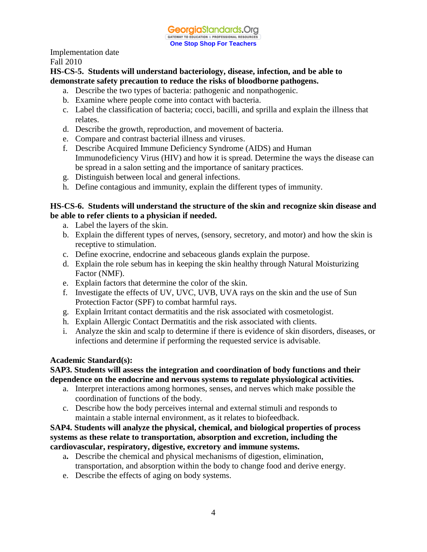Implementation date

Fall 2010

**HS-CS-5. Students will understand bacteriology, disease, infection, and be able to demonstrate safety precaution to reduce the risks of bloodborne pathogens.**

- a. Describe the two types of bacteria: pathogenic and nonpathogenic.
- b. Examine where people come into contact with bacteria.
- c. Label the classification of bacteria; cocci, bacilli, and sprilla and explain the illness that relates.
- d. Describe the growth, reproduction, and movement of bacteria.
- e. Compare and contrast bacterial illness and viruses.
- f. Describe Acquired Immune Deficiency Syndrome (AIDS) and Human Immunodeficiency Virus (HIV) and how it is spread. Determine the ways the disease can be spread in a salon setting and the importance of sanitary practices.
- g. Distinguish between local and general infections.
- h. Define contagious and immunity, explain the different types of immunity.

#### **HS-CS-6. Students will understand the structure of the skin and recognize skin disease and be able to refer clients to a physician if needed.**

- a. Label the layers of the skin.
- b. Explain the different types of nerves, (sensory, secretory, and motor) and how the skin is receptive to stimulation.
- c. Define exocrine, endocrine and sebaceous glands explain the purpose.
- d. Explain the role sebum has in keeping the skin healthy through Natural Moisturizing Factor (NMF).
- e. Explain factors that determine the color of the skin.
- f. Investigate the effects of UV, UVC, UVB, UVA rays on the skin and the use of Sun Protection Factor (SPF) to combat harmful rays.
- g. Explain Irritant contact dermatitis and the risk associated with cosmetologist.
- h. Explain Allergic Contact Dermatitis and the risk associated with clients.
- i. Analyze the skin and scalp to determine if there is evidence of skin disorders, diseases, or infections and determine if performing the requested service is advisable.

#### **Academic Standard(s):**

# **SAP3. Students will assess the integration and coordination of body functions and their dependence on the endocrine and nervous systems to regulate physiological activities.**

- a. Interpret interactions among hormones, senses, and nerves which make possible the coordination of functions of the body.
- c. Describe how the body perceives internal and external stimuli and responds to maintain a stable internal environment, as it relates to biofeedback.

# **SAP4. Students will analyze the physical, chemical, and biological properties of process systems as these relate to transportation, absorption and excretion, including the cardiovascular, respiratory, digestive, excretory and immune systems.**

- a**.** Describe the chemical and physical mechanisms of digestion, elimination, transportation, and absorption within the body to change food and derive energy.
- e. Describe the effects of aging on body systems.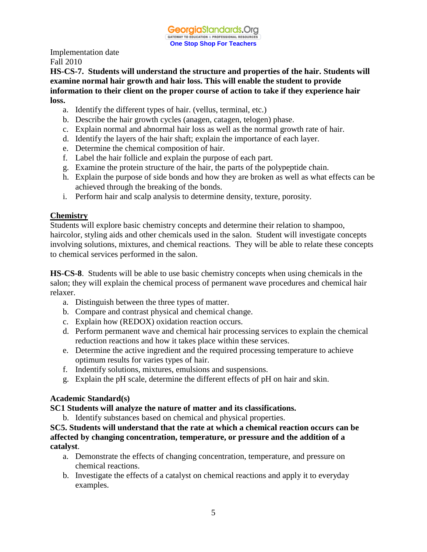**HS-CS-7. Students will understand the structure and properties of the hair. Students will examine normal hair growth and hair loss. This will enable the student to provide information to their client on the proper course of action to take if they experience hair loss.**

- a. Identify the different types of hair. (vellus, terminal, etc.)
- b. Describe the hair growth cycles (anagen, catagen, telogen) phase.
- c. Explain normal and abnormal hair loss as well as the normal growth rate of hair.
- d. Identify the layers of the hair shaft; explain the importance of each layer.
- e. Determine the chemical composition of hair.
- f. Label the hair follicle and explain the purpose of each part.
- g. Examine the protein structure of the hair, the parts of the polypeptide chain.
- h. Explain the purpose of side bonds and how they are broken as well as what effects can be achieved through the breaking of the bonds.
- i. Perform hair and scalp analysis to determine density, texture, porosity.

# **Chemistry**

Students will explore basic chemistry concepts and determine their relation to shampoo, haircolor, styling aids and other chemicals used in the salon. Student will investigate concepts involving solutions, mixtures, and chemical reactions. They will be able to relate these concepts to chemical services performed in the salon.

**HS-CS-8**. Students will be able to use basic chemistry concepts when using chemicals in the salon; they will explain the chemical process of permanent wave procedures and chemical hair relaxer.

- a. Distinguish between the three types of matter.
- b. Compare and contrast physical and chemical change.
- c. Explain how (REDOX) oxidation reaction occurs.
- d. Perform permanent wave and chemical hair processing services to explain the chemical reduction reactions and how it takes place within these services.
- e. Determine the active ingredient and the required processing temperature to achieve optimum results for varies types of hair.
- f. Indentify solutions, mixtures, emulsions and suspensions.
- g. Explain the pH scale, determine the different effects of pH on hair and skin.

#### **Academic Standard(s)**

#### **SC1 Students will analyze the nature of matter and its classifications.**

b. Identify substances based on chemical and physical properties.

**SC5. Students will understand that the rate at which a chemical reaction occurs can be affected by changing concentration, temperature, or pressure and the addition of a catalyst**.

- a. Demonstrate the effects of changing concentration, temperature, and pressure on chemical reactions.
- b. Investigate the effects of a catalyst on chemical reactions and apply it to everyday examples.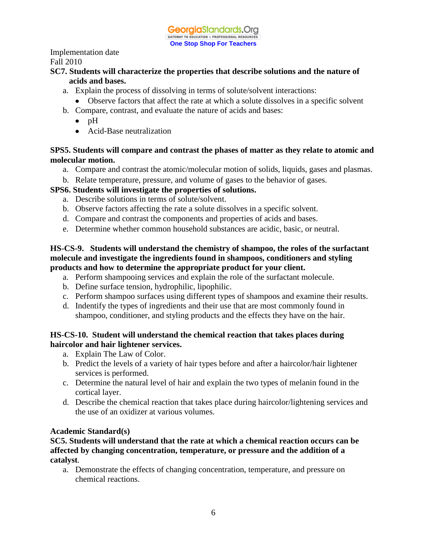# **SC7. Students will characterize the properties that describe solutions and the nature of acids and bases.**

- a. Explain the process of dissolving in terms of solute/solvent interactions:
	- Observe factors that affect the rate at which a solute dissolves in a specific solvent
- b. Compare, contrast, and evaluate the nature of acids and bases:
	- $\bullet$  pH
	- Acid-Base neutralization

# **SPS5. Students will compare and contrast the phases of matter as they relate to atomic and molecular motion.**

- a. Compare and contrast the atomic/molecular motion of solids, liquids, gases and plasmas.
- b. Relate temperature, pressure, and volume of gases to the behavior of gases.

# **SPS6. Students will investigate the properties of solutions.**

- a. Describe solutions in terms of solute/solvent.
- b. Observe factors affecting the rate a solute dissolves in a specific solvent.
- d. Compare and contrast the components and properties of acids and bases.
- e. Determine whether common household substances are acidic, basic, or neutral*.*

### **HS-CS-9. Students will understand the chemistry of shampoo, the roles of the surfactant molecule and investigate the ingredients found in shampoos, conditioners and styling products and how to determine the appropriate product for your client.**

- a. Perform shampooing services and explain the role of the surfactant molecule.
- b. Define surface tension, hydrophilic, lipophilic.
- c. Perform shampoo surfaces using different types of shampoos and examine their results.
- d. Indentify the types of ingredients and their use that are most commonly found in shampoo, conditioner, and styling products and the effects they have on the hair.

# **HS-CS-10. Student will understand the chemical reaction that takes places during haircolor and hair lightener services.**

- a. Explain The Law of Color.
- b. Predict the levels of a variety of hair types before and after a haircolor/hair lightener services is performed.
- c. Determine the natural level of hair and explain the two types of melanin found in the cortical layer.
- d. Describe the chemical reaction that takes place during haircolor/lightening services and the use of an oxidizer at various volumes.

#### **Academic Standard(s)**

**SC5. Students will understand that the rate at which a chemical reaction occurs can be affected by changing concentration, temperature, or pressure and the addition of a catalyst***.* 

a. Demonstrate the effects of changing concentration, temperature, and pressure on chemical reactions.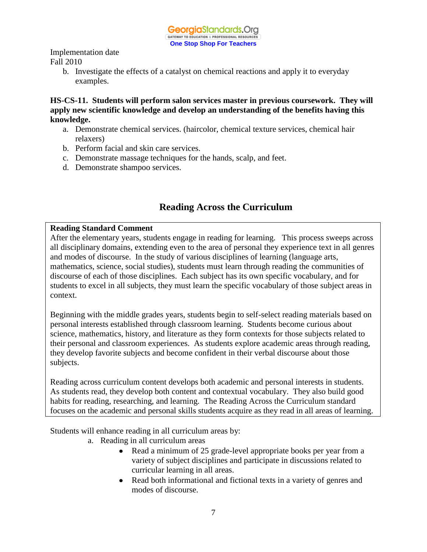> b. Investigate the effects of a catalyst on chemical reactions and apply it to everyday examples.

**HS-CS-11. Students will perform salon services master in previous coursework. They will apply new scientific knowledge and develop an understanding of the benefits having this knowledge.** 

- a. Demonstrate chemical services. (haircolor, chemical texture services, chemical hair relaxers)
- b. Perform facial and skin care services.
- c. Demonstrate massage techniques for the hands, scalp, and feet.
- d. Demonstrate shampoo services.

# **Reading Across the Curriculum**

# **Reading Standard Comment**

After the elementary years, students engage in reading for learning. This process sweeps across all disciplinary domains, extending even to the area of personal they experience text in all genres and modes of discourse. In the study of various disciplines of learning (language arts, mathematics, science, social studies), students must learn through reading the communities of discourse of each of those disciplines. Each subject has its own specific vocabulary, and for students to excel in all subjects, they must learn the specific vocabulary of those subject areas in context.

Beginning with the middle grades years, students begin to self-select reading materials based on personal interests established through classroom learning. Students become curious about science, mathematics, history, and literature as they form contexts for those subjects related to their personal and classroom experiences. As students explore academic areas through reading, they develop favorite subjects and become confident in their verbal discourse about those subjects.

Reading across curriculum content develops both academic and personal interests in students. As students read, they develop both content and contextual vocabulary. They also build good habits for reading, researching, and learning. The Reading Across the Curriculum standard focuses on the academic and personal skills students acquire as they read in all areas of learning.

Students will enhance reading in all curriculum areas by:

- a. Reading in all curriculum areas
	- Read a minimum of 25 grade-level appropriate books per year from a variety of subject disciplines and participate in discussions related to curricular learning in all areas.
	- Read both informational and fictional texts in a variety of genres and modes of discourse.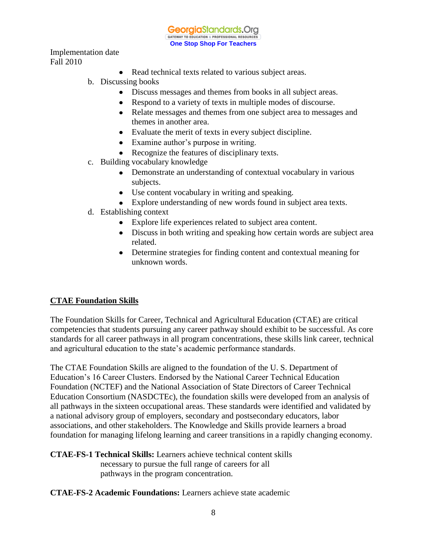**Georgia**Standards.Org GATEWAY TO EDUCATION & PROFESSIONAL RESOURCE **One Stop Shop For Teachers**

Implementation date Fall 2010

- Read technical texts related to various subject areas.
- b. Discussing books
	- Discuss messages and themes from books in all subject areas.
	- Respond to a variety of texts in multiple modes of discourse.
	- Relate messages and themes from one subject area to messages and themes in another area.
	- Evaluate the merit of texts in every subject discipline.
	- Examine author's purpose in writing.
	- Recognize the features of disciplinary texts.
- c. Building vocabulary knowledge
	- Demonstrate an understanding of contextual vocabulary in various subjects.
	- Use content vocabulary in writing and speaking.
	- Explore understanding of new words found in subject area texts.
- d. Establishing context
	- Explore life experiences related to subject area content.
	- Discuss in both writing and speaking how certain words are subject area related.
	- Determine strategies for finding content and contextual meaning for unknown words.

# **CTAE Foundation Skills**

The Foundation Skills for Career, Technical and Agricultural Education (CTAE) are critical competencies that students pursuing any career pathway should exhibit to be successful. As core standards for all career pathways in all program concentrations, these skills link career, technical and agricultural education to the state's academic performance standards.

The CTAE Foundation Skills are aligned to the foundation of the U. S. Department of Education's 16 Career Clusters. Endorsed by the National Career Technical Education Foundation (NCTEF) and the National Association of State Directors of Career Technical Education Consortium (NASDCTEc), the foundation skills were developed from an analysis of all pathways in the sixteen occupational areas. These standards were identified and validated by a national advisory group of employers, secondary and postsecondary educators, labor associations, and other stakeholders. The Knowledge and Skills provide learners a broad foundation for managing lifelong learning and career transitions in a rapidly changing economy.

**CTAE-FS-1 Technical Skills:** Learners achieve technical content skills necessary to pursue the full range of careers for all pathways in the program concentration.

#### **CTAE-FS-2 Academic Foundations:** Learners achieve state academic